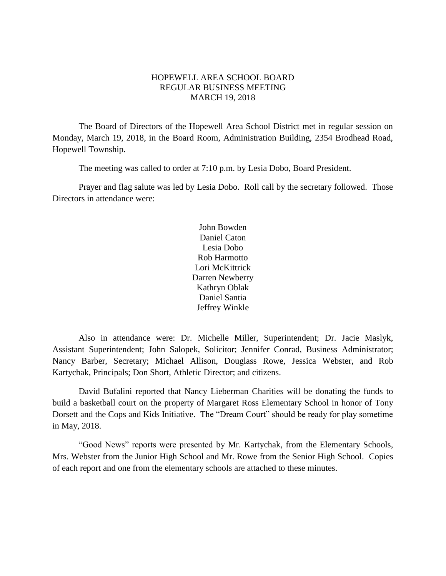# HOPEWELL AREA SCHOOL BOARD REGULAR BUSINESS MEETING MARCH 19, 2018

The Board of Directors of the Hopewell Area School District met in regular session on Monday, March 19, 2018, in the Board Room, Administration Building, 2354 Brodhead Road, Hopewell Township.

The meeting was called to order at 7:10 p.m. by Lesia Dobo, Board President.

Prayer and flag salute was led by Lesia Dobo. Roll call by the secretary followed. Those Directors in attendance were:

> John Bowden Daniel Caton Lesia Dobo Rob Harmotto Lori McKittrick Darren Newberry Kathryn Oblak Daniel Santia Jeffrey Winkle

Also in attendance were: Dr. Michelle Miller, Superintendent; Dr. Jacie Maslyk, Assistant Superintendent; John Salopek, Solicitor; Jennifer Conrad, Business Administrator; Nancy Barber, Secretary; Michael Allison, Douglass Rowe, Jessica Webster, and Rob Kartychak, Principals; Don Short, Athletic Director; and citizens.

David Bufalini reported that Nancy Lieberman Charities will be donating the funds to build a basketball court on the property of Margaret Ross Elementary School in honor of Tony Dorsett and the Cops and Kids Initiative. The "Dream Court" should be ready for play sometime in May, 2018.

"Good News" reports were presented by Mr. Kartychak, from the Elementary Schools, Mrs. Webster from the Junior High School and Mr. Rowe from the Senior High School. Copies of each report and one from the elementary schools are attached to these minutes.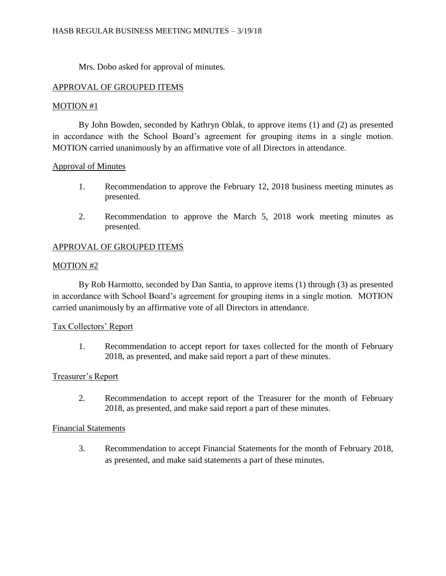Mrs. Dobo asked for approval of minutes.

# APPROVAL OF GROUPED ITEMS

## MOTION #1

By John Bowden, seconded by Kathryn Oblak, to approve items (1) and (2) as presented in accordance with the School Board's agreement for grouping items in a single motion. MOTION carried unanimously by an affirmative vote of all Directors in attendance.

# Approval of Minutes

- 1. Recommendation to approve the February 12, 2018 business meeting minutes as presented.
- 2. Recommendation to approve the March 5, 2018 work meeting minutes as presented.

# APPROVAL OF GROUPED ITEMS

## MOTION #2

By Rob Harmotto, seconded by Dan Santia, to approve items (1) through (3) as presented in accordance with School Board's agreement for grouping items in a single motion. MOTION carried unanimously by an affirmative vote of all Directors in attendance.

## Tax Collectors' Report

1. Recommendation to accept report for taxes collected for the month of February 2018, as presented, and make said report a part of these minutes.

## Treasurer's Report

2. Recommendation to accept report of the Treasurer for the month of February 2018, as presented, and make said report a part of these minutes.

## Financial Statements

3. Recommendation to accept Financial Statements for the month of February 2018, as presented, and make said statements a part of these minutes.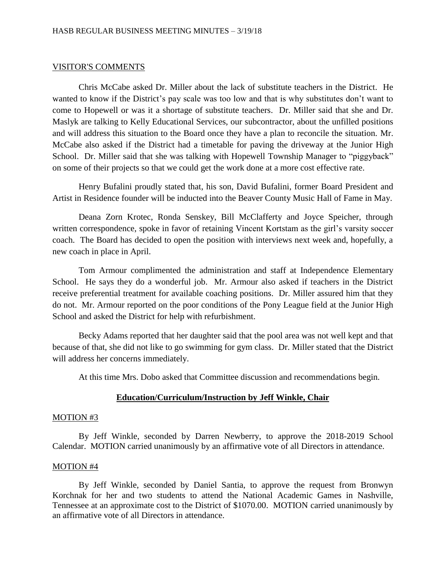#### VISITOR'S COMMENTS

Chris McCabe asked Dr. Miller about the lack of substitute teachers in the District. He wanted to know if the District's pay scale was too low and that is why substitutes don't want to come to Hopewell or was it a shortage of substitute teachers. Dr. Miller said that she and Dr. Maslyk are talking to Kelly Educational Services, our subcontractor, about the unfilled positions and will address this situation to the Board once they have a plan to reconcile the situation. Mr. McCabe also asked if the District had a timetable for paving the driveway at the Junior High School. Dr. Miller said that she was talking with Hopewell Township Manager to "piggyback" on some of their projects so that we could get the work done at a more cost effective rate.

Henry Bufalini proudly stated that, his son, David Bufalini, former Board President and Artist in Residence founder will be inducted into the Beaver County Music Hall of Fame in May.

Deana Zorn Krotec, Ronda Senskey, Bill McClafferty and Joyce Speicher, through written correspondence, spoke in favor of retaining Vincent Kortstam as the girl's varsity soccer coach. The Board has decided to open the position with interviews next week and, hopefully, a new coach in place in April.

Tom Armour complimented the administration and staff at Independence Elementary School. He says they do a wonderful job. Mr. Armour also asked if teachers in the District receive preferential treatment for available coaching positions. Dr. Miller assured him that they do not. Mr. Armour reported on the poor conditions of the Pony League field at the Junior High School and asked the District for help with refurbishment.

Becky Adams reported that her daughter said that the pool area was not well kept and that because of that, she did not like to go swimming for gym class. Dr. Miller stated that the District will address her concerns immediately.

At this time Mrs. Dobo asked that Committee discussion and recommendations begin.

### **Education/Curriculum/Instruction by Jeff Winkle, Chair**

#### MOTION #3

By Jeff Winkle, seconded by Darren Newberry, to approve the 2018-2019 School Calendar. MOTION carried unanimously by an affirmative vote of all Directors in attendance.

#### MOTION #4

By Jeff Winkle, seconded by Daniel Santia, to approve the request from Bronwyn Korchnak for her and two students to attend the National Academic Games in Nashville, Tennessee at an approximate cost to the District of \$1070.00. MOTION carried unanimously by an affirmative vote of all Directors in attendance.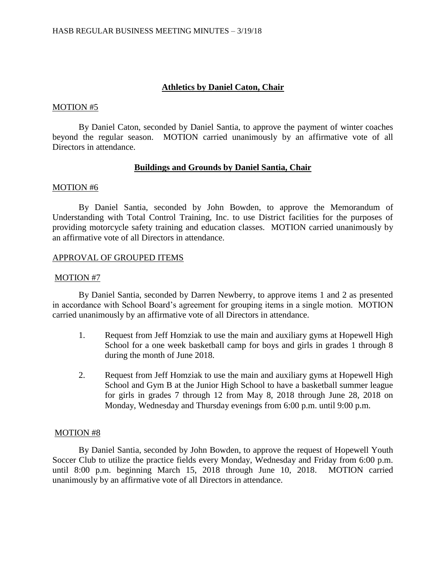# **Athletics by Daniel Caton, Chair**

### MOTION #5

By Daniel Caton, seconded by Daniel Santia, to approve the payment of winter coaches beyond the regular season. MOTION carried unanimously by an affirmative vote of all Directors in attendance.

## **Buildings and Grounds by Daniel Santia, Chair**

### MOTION #6

By Daniel Santia, seconded by John Bowden, to approve the Memorandum of Understanding with Total Control Training, Inc. to use District facilities for the purposes of providing motorcycle safety training and education classes. MOTION carried unanimously by an affirmative vote of all Directors in attendance.

### APPROVAL OF GROUPED ITEMS

### MOTION #7

By Daniel Santia, seconded by Darren Newberry, to approve items 1 and 2 as presented in accordance with School Board's agreement for grouping items in a single motion. MOTION carried unanimously by an affirmative vote of all Directors in attendance.

- 1. Request from Jeff Homziak to use the main and auxiliary gyms at Hopewell High School for a one week basketball camp for boys and girls in grades 1 through 8 during the month of June 2018.
- 2. Request from Jeff Homziak to use the main and auxiliary gyms at Hopewell High School and Gym B at the Junior High School to have a basketball summer league for girls in grades 7 through 12 from May 8, 2018 through June 28, 2018 on Monday, Wednesday and Thursday evenings from 6:00 p.m. until 9:00 p.m.

### MOTION #8

By Daniel Santia, seconded by John Bowden, to approve the request of Hopewell Youth Soccer Club to utilize the practice fields every Monday, Wednesday and Friday from 6:00 p.m. until 8:00 p.m. beginning March 15, 2018 through June 10, 2018. MOTION carried unanimously by an affirmative vote of all Directors in attendance.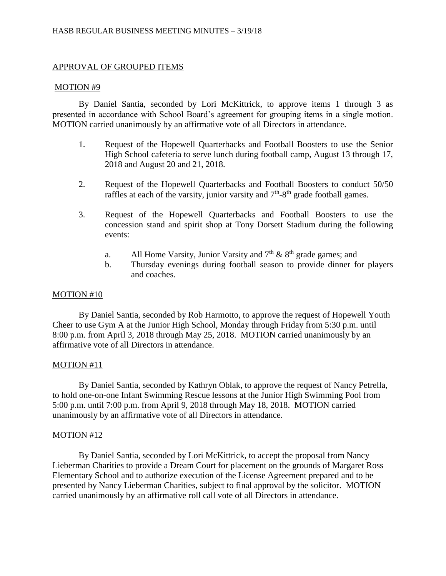# APPROVAL OF GROUPED ITEMS

### MOTION #9

By Daniel Santia, seconded by Lori McKittrick, to approve items 1 through 3 as presented in accordance with School Board's agreement for grouping items in a single motion. MOTION carried unanimously by an affirmative vote of all Directors in attendance.

- 1. Request of the Hopewell Quarterbacks and Football Boosters to use the Senior High School cafeteria to serve lunch during football camp, August 13 through 17, 2018 and August 20 and 21, 2018.
- 2. Request of the Hopewell Quarterbacks and Football Boosters to conduct 50/50 raffles at each of the varsity, junior varsity and  $7<sup>th</sup>$ -8<sup>th</sup> grade football games.
- 3. Request of the Hopewell Quarterbacks and Football Boosters to use the concession stand and spirit shop at Tony Dorsett Stadium during the following events:
	- a. All Home Varsity, Junior Varsity and  $7<sup>th</sup>$  &  $8<sup>th</sup>$  grade games; and
	- b. Thursday evenings during football season to provide dinner for players and coaches.

## MOTION #10

By Daniel Santia, seconded by Rob Harmotto, to approve the request of Hopewell Youth Cheer to use Gym A at the Junior High School, Monday through Friday from 5:30 p.m. until 8:00 p.m. from April 3, 2018 through May 25, 2018. MOTION carried unanimously by an affirmative vote of all Directors in attendance.

## MOTION #11

By Daniel Santia, seconded by Kathryn Oblak, to approve the request of Nancy Petrella, to hold one-on-one Infant Swimming Rescue lessons at the Junior High Swimming Pool from 5:00 p.m. until 7:00 p.m. from April 9, 2018 through May 18, 2018. MOTION carried unanimously by an affirmative vote of all Directors in attendance.

## MOTION #12

By Daniel Santia, seconded by Lori McKittrick, to accept the proposal from Nancy Lieberman Charities to provide a Dream Court for placement on the grounds of Margaret Ross Elementary School and to authorize execution of the License Agreement prepared and to be presented by Nancy Lieberman Charities, subject to final approval by the solicitor. MOTION carried unanimously by an affirmative roll call vote of all Directors in attendance.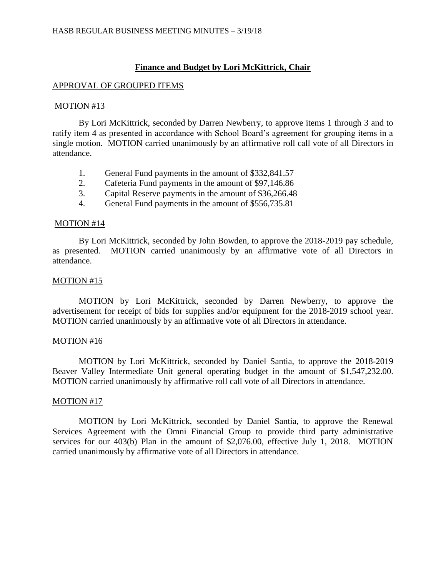## **Finance and Budget by Lori McKittrick, Chair**

#### APPROVAL OF GROUPED ITEMS

#### MOTION #13

By Lori McKittrick, seconded by Darren Newberry, to approve items 1 through 3 and to ratify item 4 as presented in accordance with School Board's agreement for grouping items in a single motion. MOTION carried unanimously by an affirmative roll call vote of all Directors in attendance.

- 1. General Fund payments in the amount of \$332,841.57
- 2. Cafeteria Fund payments in the amount of \$97,146.86
- 3. Capital Reserve payments in the amount of \$36,266.48
- 4. General Fund payments in the amount of \$556,735.81

#### MOTION #14

By Lori McKittrick, seconded by John Bowden, to approve the 2018-2019 pay schedule, as presented. MOTION carried unanimously by an affirmative vote of all Directors in attendance.

### MOTION #15

MOTION by Lori McKittrick, seconded by Darren Newberry, to approve the advertisement for receipt of bids for supplies and/or equipment for the 2018-2019 school year. MOTION carried unanimously by an affirmative vote of all Directors in attendance.

### MOTION #16

MOTION by Lori McKittrick, seconded by Daniel Santia, to approve the 2018-2019 Beaver Valley Intermediate Unit general operating budget in the amount of \$1,547,232.00. MOTION carried unanimously by affirmative roll call vote of all Directors in attendance.

### MOTION #17

MOTION by Lori McKittrick, seconded by Daniel Santia, to approve the Renewal Services Agreement with the Omni Financial Group to provide third party administrative services for our 403(b) Plan in the amount of \$2,076.00, effective July 1, 2018. MOTION carried unanimously by affirmative vote of all Directors in attendance.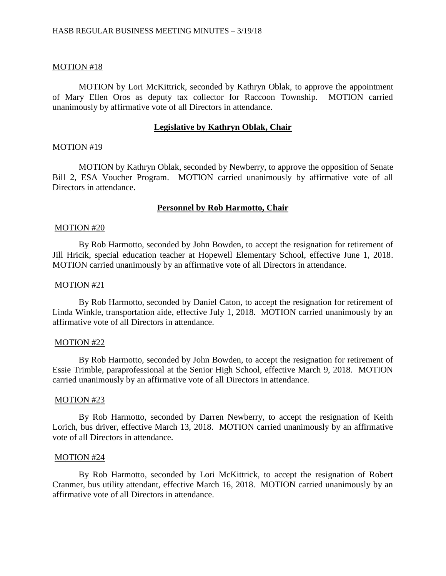### MOTION #18

MOTION by Lori McKittrick, seconded by Kathryn Oblak, to approve the appointment of Mary Ellen Oros as deputy tax collector for Raccoon Township. MOTION carried unanimously by affirmative vote of all Directors in attendance.

#### **Legislative by Kathryn Oblak, Chair**

#### MOTION #19

MOTION by Kathryn Oblak, seconded by Newberry, to approve the opposition of Senate Bill 2, ESA Voucher Program. MOTION carried unanimously by affirmative vote of all Directors in attendance.

### **Personnel by Rob Harmotto, Chair**

#### MOTION #20

By Rob Harmotto, seconded by John Bowden, to accept the resignation for retirement of Jill Hricik, special education teacher at Hopewell Elementary School, effective June 1, 2018. MOTION carried unanimously by an affirmative vote of all Directors in attendance.

#### MOTION #21

By Rob Harmotto, seconded by Daniel Caton, to accept the resignation for retirement of Linda Winkle, transportation aide, effective July 1, 2018. MOTION carried unanimously by an affirmative vote of all Directors in attendance.

#### MOTION #22

By Rob Harmotto, seconded by John Bowden, to accept the resignation for retirement of Essie Trimble, paraprofessional at the Senior High School, effective March 9, 2018. MOTION carried unanimously by an affirmative vote of all Directors in attendance.

#### MOTION #23

By Rob Harmotto, seconded by Darren Newberry, to accept the resignation of Keith Lorich, bus driver, effective March 13, 2018. MOTION carried unanimously by an affirmative vote of all Directors in attendance.

#### MOTION #24

By Rob Harmotto, seconded by Lori McKittrick, to accept the resignation of Robert Cranmer, bus utility attendant, effective March 16, 2018. MOTION carried unanimously by an affirmative vote of all Directors in attendance.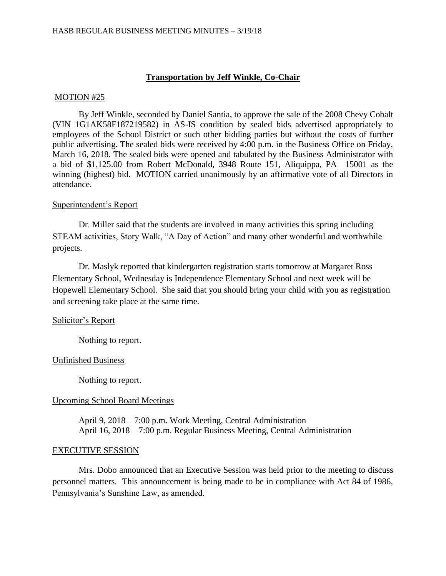# **Transportation by Jeff Winkle, Co-Chair**

### MOTION #25

By Jeff Winkle, seconded by Daniel Santia, to approve the sale of the 2008 Chevy Cobalt (VIN 1G1AK58F187219582) in AS-IS condition by sealed bids advertised appropriately to employees of the School District or such other bidding parties but without the costs of further public advertising. The sealed bids were received by 4:00 p.m. in the Business Office on Friday, March 16, 2018. The sealed bids were opened and tabulated by the Business Administrator with a bid of \$1,125.00 from Robert McDonald, 3948 Route 151, Aliquippa, PA 15001 as the winning (highest) bid. MOTION carried unanimously by an affirmative vote of all Directors in attendance.

## Superintendent's Report

Dr. Miller said that the students are involved in many activities this spring including STEAM activities, Story Walk, "A Day of Action" and many other wonderful and worthwhile projects.

Dr. Maslyk reported that kindergarten registration starts tomorrow at Margaret Ross Elementary School, Wednesday is Independence Elementary School and next week will be Hopewell Elementary School. She said that you should bring your child with you as registration and screening take place at the same time.

## Solicitor's Report

Nothing to report.

## Unfinished Business

Nothing to report.

## Upcoming School Board Meetings

April 9, 2018 – 7:00 p.m. Work Meeting, Central Administration April 16, 2018 – 7:00 p.m. Regular Business Meeting, Central Administration

## EXECUTIVE SESSION

Mrs. Dobo announced that an Executive Session was held prior to the meeting to discuss personnel matters. This announcement is being made to be in compliance with Act 84 of 1986, Pennsylvania's Sunshine Law, as amended.